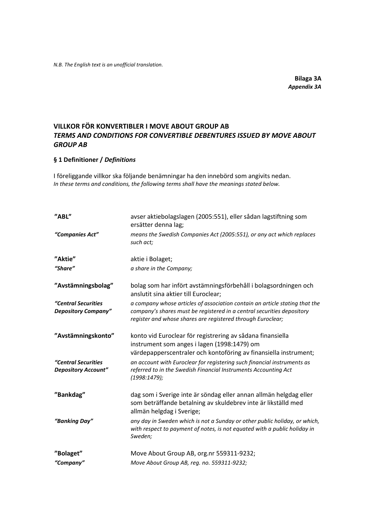**Bilaga 3A** *Appendix 3A*

# **VILLKOR FÖR KONVERTIBLER I MOVE ABOUT GROUP AB** *TERMS AND CONDITIONS FOR CONVERTIBLE DEBENTURES ISSUED BY MOVE ABOUT GROUP AB*

# **§ 1 Definitioner /** *Definitions*

I föreliggande villkor ska följande benämningar ha den innebörd som angivits nedan. *In these terms and conditions, the following terms shall have the meanings stated below.*

| "ABL"                                             | avser aktiebolagslagen (2005:551), eller sådan lagstiftning som<br>ersätter denna lag;                                                                                                                               |
|---------------------------------------------------|----------------------------------------------------------------------------------------------------------------------------------------------------------------------------------------------------------------------|
| "Companies Act"                                   | means the Swedish Companies Act (2005:551), or any act which replaces<br>such act;                                                                                                                                   |
| "Aktie"                                           | aktie i Bolaget;                                                                                                                                                                                                     |
| "Share"                                           | a share in the Company;                                                                                                                                                                                              |
| "Avstämningsbolag"                                | bolag som har infört avstämningsförbehåll i bolagsordningen och<br>anslutit sina aktier till Euroclear;                                                                                                              |
| "Central Securities<br><b>Depository Company"</b> | a company whose articles of association contain an article stating that the<br>company's shares must be registered in a central securities depository<br>register and whose shares are registered through Euroclear; |
| "Avstämningskonto"                                | konto vid Euroclear för registrering av sådana finansiella<br>instrument som anges i lagen (1998:1479) om<br>värdepapperscentraler och kontoföring av finansiella instrument;                                        |
| "Central Securities<br><b>Depository Account"</b> | an account with Euroclear for registering such financial instruments as<br>referred to in the Swedish Financial Instruments Accounting Act<br>(1998:1479);                                                           |
| "Bankdag"                                         | dag som i Sverige inte är söndag eller annan allmän helgdag eller<br>som beträffande betalning av skuldebrev inte är likställd med<br>allmän helgdag i Sverige;                                                      |
| "Banking Day"                                     | any day in Sweden which is not a Sunday or other public holiday, or which,<br>with respect to payment of notes, is not equated with a public holiday in<br>Sweden;                                                   |
| "Bolaget"                                         | Move About Group AB, org.nr 559311-9232;                                                                                                                                                                             |
| "Company"                                         | Move About Group AB, reg. no. 559311-9232;                                                                                                                                                                           |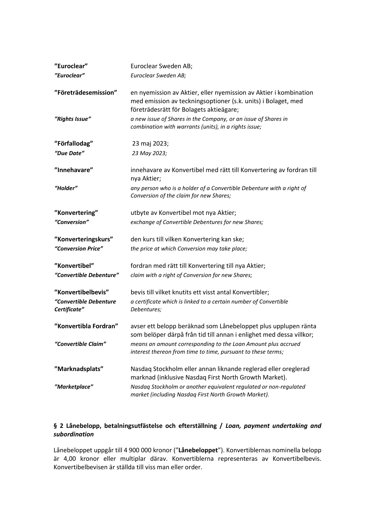| "Euroclear"                            | Euroclear Sweden AB;                                                                                                                                                                                                                            |
|----------------------------------------|-------------------------------------------------------------------------------------------------------------------------------------------------------------------------------------------------------------------------------------------------|
| "Euroclear"                            | Euroclear Sweden AB;                                                                                                                                                                                                                            |
| "Företrädesemission"<br>"Rights Issue" | en nyemission av Aktier, eller nyemission av Aktier i kombination<br>med emission av teckningsoptioner (s.k. units) i Bolaget, med<br>företrädesrätt för Bolagets aktieägare;<br>a new issue of Shares in the Company, or an issue of Shares in |
|                                        | combination with warrants (units), in a rights issue;                                                                                                                                                                                           |
| "Förfallodag"                          | 23 maj 2023;                                                                                                                                                                                                                                    |
| "Due Date"                             | 23 May 2023;                                                                                                                                                                                                                                    |
| "Innehavare"                           | innehavare av Konvertibel med rätt till Konvertering av fordran till<br>nya Aktier;                                                                                                                                                             |
| "Holder"                               | any person who is a holder of a Convertible Debenture with a right of<br>Conversion of the claim for new Shares;                                                                                                                                |
| "Konvertering"                         | utbyte av Konvertibel mot nya Aktier;                                                                                                                                                                                                           |
| "Conversion"                           | exchange of Convertible Debentures for new Shares;                                                                                                                                                                                              |
| "Konverteringskurs"                    |                                                                                                                                                                                                                                                 |
| "Conversion Price"                     | den kurs till vilken Konvertering kan ske;<br>the price at which Conversion may take place;                                                                                                                                                     |
|                                        |                                                                                                                                                                                                                                                 |
| "Konvertibel"                          | fordran med rätt till Konvertering till nya Aktier;                                                                                                                                                                                             |
| "Convertible Debenture"                | claim with a right of Conversion for new Shares;                                                                                                                                                                                                |
| "Konvertibelbevis"                     | bevis till vilket knutits ett visst antal Konvertibler;                                                                                                                                                                                         |
| "Convertible Debenture                 |                                                                                                                                                                                                                                                 |
| Certificate"                           | a certificate which is linked to a certain number of Convertible<br>Debentures;                                                                                                                                                                 |
|                                        |                                                                                                                                                                                                                                                 |
| "Konvertibla Fordran"                  | avser ett belopp beräknad som Lånebeloppet plus upplupen ränta<br>som belöper därpå från tid till annan i enlighet med dessa villkor;                                                                                                           |
| "Convertible Claim"                    | means an amount corresponding to the Loan Amount plus accrued<br>interest thereon from time to time, pursuant to these terms;                                                                                                                   |
| "Marknadsplats"                        | Nasdaq Stockholm eller annan liknande reglerad eller oreglerad<br>marknad (inklusive Nasdaq First North Growth Market).                                                                                                                         |
| "Marketplace"                          | Nasdaq Stockholm or another equivalent regulated or non-regulated<br>market (including Nasdaq First North Growth Market).                                                                                                                       |

# **§ 2 Lånebelopp, betalningsutfästelse och efterställning /** *Loan, payment undertaking and subordination*

Lånebeloppet uppgår till 4 900 000 kronor ("**Lånebeloppet**"). Konvertiblernas nominella belopp är 4,00 kronor eller multiplar därav. Konvertiblerna representeras av Konvertibelbevis. Konvertibelbevisen är ställda till viss man eller order.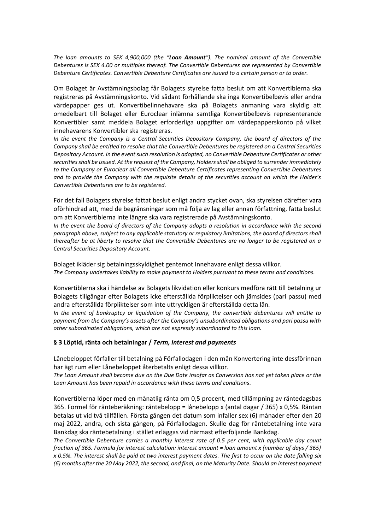*The loan amounts to SEK 4,900,000 (the "Loan Amount"). The nominal amount of the Convertible Debentures is SEK 4.00 or multiples thereof. The Convertible Debentures are represented by Convertible Debenture Certificates. Convertible Debenture Certificates are issued to a certain person or to order.*

Om Bolaget är Avstämningsbolag får Bolagets styrelse fatta beslut om att Konvertiblerna ska registreras på Avstämningskonto. Vid sådant förhållande ska inga Konvertibelbevis eller andra värdepapper ges ut. Konvertibelinnehavare ska på Bolagets anmaning vara skyldig att omedelbart till Bolaget eller Euroclear inlämna samtliga Konvertibelbevis representerande Konvertibler samt meddela Bolaget erforderliga uppgifter om värdepapperskonto på vilket innehavarens Konvertibler ska registreras.

*In the event the Company is a Central Securities Depository Company, the board of directors of the Company shall be entitled to resolve that the Convertible Debentures be registered on a Central Securities Depository Account. In the event such resolution is adopted, no Convertible Debenture Certificates or other securities shall be issued. At the request of the Company, Holders shall be obliged to surrender immediately to the Company or Euroclear all Convertible Debenture Certificates representing Convertible Debentures and to provide the Company with the requisite details of the securities account on which the Holder's Convertible Debentures are to be registered.*

För det fall Bolagets styrelse fattat beslut enligt andra stycket ovan, ska styrelsen därefter vara oförhindrad att, med de begränsningar som må följa av lag eller annan författning, fatta beslut om att Konvertiblerna inte längre ska vara registrerade på Avstämningskonto.

*In the event the board of directors of the Company adopts a resolution in accordance with the second paragraph above, subject to any applicable statutory or regulatory limitations, the board of directors shall thereafter be at liberty to resolve that the Convertible Debentures are no longer to be registered on a Central Securities Depository Account.*

Bolaget ikläder sig betalningsskyldighet gentemot Innehavare enligt dessa villkor. *The Company undertakes liability to make payment to Holders pursuant to these terms and conditions.*

Konvertiblerna ska i händelse av Bolagets likvidation eller konkurs medföra rätt till betalning ur Bolagets tillgångar efter Bolagets icke efterställda förpliktelser och jämsides (pari passu) med andra efterställda förpliktelser som inte uttryckligen är efterställda detta lån.

*In the event of bankruptcy or liquidation of the Company, the convertible debentures will entitle to payment from the Company's assets after the Company's unsubordinated obligations and pari passu with other subordinated obligations, which are not expressly subordinated to this loan.*

# **§ 3 Löptid, ränta och betalningar /** *Term, interest and payments*

Lånebeloppet förfaller till betalning på Förfallodagen i den mån Konvertering inte dessförinnan har ägt rum eller Lånebeloppet återbetalts enligt dessa villkor.

*The Loan Amount shall become due on the Due Date insofar as Conversion has not yet taken place or the Loan Amount has been repaid in accordance with these terms and conditions.*

Konvertiblerna löper med en månatlig ränta om 0,5 procent, med tillämpning av räntedagsbas 365. Formel för ränteberäkning: räntebelopp = lånebelopp x (antal dagar / 365) x 0,5%. Räntan betalas ut vid två tillfällen. Första gången det datum som infaller sex (6) månader efter den 20 maj 2022, andra, och sista gången, på Förfallodagen. Skulle dag för räntebetalning inte vara Bankdag ska räntebetalning i stället erläggas vid närmast efterföljande Bankdag.

*The Convertible Debenture carries a monthly interest rate of 0.5 per cent, with applicable day count fraction of 365. Formula for interest calculation: interest amount = loan amount x (number of days / 365) x 0.5%. The interest shall be paid at two interest payment dates. The first to occur on the date falling six (6) months after the 20 May 2022, the second, and final, on the Maturity Date. Should an interest payment*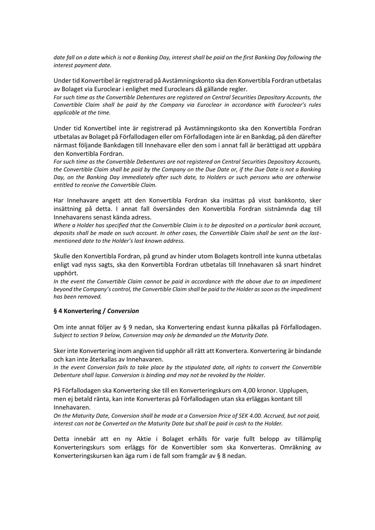*date fall on a date which is not a Banking Day, interest shall be paid on the first Banking Day following the interest payment date.*

Under tid Konvertibel är registrerad på Avstämningskonto ska den Konvertibla Fordran utbetalas av Bolaget via Euroclear i enlighet med Euroclears då gällande regler.

*For such time as the Convertible Debentures are registered on Central Securities Depository Accounts, the Convertible Claim shall be paid by the Company via Euroclear in accordance with Euroclear's rules applicable at the time.*

Under tid Konvertibel inte är registrerad på Avstämningskonto ska den Konvertibla Fordran utbetalas av Bolaget på Förfallodagen eller om Förfallodagen inte är en Bankdag, på den därefter närmast följande Bankdagen till Innehavare eller den som i annat fall är berättigad att uppbära den Konvertibla Fordran.

*For such time as the Convertible Debentures are not registered on Central Securities Depository Accounts, the Convertible Claim shall be paid by the Company on the Due Date or, if the Due Date is not a Banking Day, on the Banking Day immediately after such date, to Holders or such persons who are otherwise entitled to receive the Convertible Claim.*

Har Innehavare angett att den Konvertibla Fordran ska insättas på visst bankkonto, sker insättning på detta. I annat fall översändes den Konvertibla Fordran sistnämnda dag till Innehavarens senast kända adress.

*Where a Holder has specified that the Convertible Claim is to be deposited on a particular bank account, deposits shall be made on such account. In other cases, the Convertible Claim shall be sent on the lastmentioned date to the Holder's last known address.*

Skulle den Konvertibla Fordran, på grund av hinder utom Bolagets kontroll inte kunna utbetalas enligt vad nyss sagts, ska den Konvertibla Fordran utbetalas till Innehavaren så snart hindret upphört.

In the event the Convertible Claim cannot be paid in accordance with the above due to an impediment *beyond the Company's control, the Convertible Claim shall be paid to the Holder as soon as the impediment has been removed.*

#### **§ 4 Konvertering /** *Conversion*

Om inte annat följer av § 9 nedan, ska Konvertering endast kunna påkallas på Förfallodagen. *Subject to section 9 below, Conversion may only be demanded un the Maturity Date.*

Sker inte Konvertering inom angiven tid upphör all rätt att Konvertera. Konvertering är bindande och kan inte återkallas av Innehavaren.

*In the event Conversion fails to take place by the stipulated date, all rights to convert the Convertible Debenture shall lapse. Conversion is binding and may not be revoked by the Holder.*

På Förfallodagen ska Konvertering ske till en Konverteringskurs om 4,00 kronor. Upplupen, men ej betald ränta, kan inte Konverteras på Förfallodagen utan ska erläggas kontant till Innehavaren.

*On the Maturity Date, Conversion shall be made at a Conversion Price of SEK 4.00. Accrued, but not paid, interest can not be Converted on the Maturity Date but shall be paid in cash to the Holder.*

Detta innebär att en ny Aktie i Bolaget erhålls för varje fullt belopp av tillämplig Konverteringskurs som erläggs för de Konvertibler som ska Konverteras. Omräkning av Konverteringskursen kan äga rum i de fall som framgår av § 8 nedan.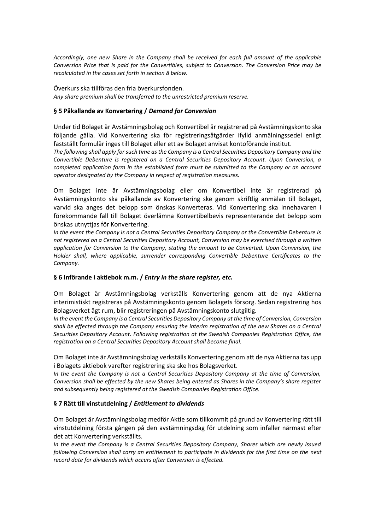*Accordingly, one new Share in the Company shall be received for each full amount of the applicable Conversion Price that is paid for the Convertibles, subject to Conversion. The Conversion Price may be recalculated in the cases set forth in section 8 below.*

Överkurs ska tillföras den fria överkursfonden. *Any share premium shall be transferred to the unrestricted premium reserve.*

# **§ 5 Påkallande av Konvertering /** *Demand for Conversion*

Under tid Bolaget är Avstämningsbolag och Konvertibel är registrerad på Avstämningskonto ska följande gälla. Vid Konvertering ska för registreringsåtgärder ifylld anmälningssedel enligt fastställt formulär inges till Bolaget eller ett av Bolaget anvisat kontoförande institut.

*The following shall apply for such time as the Company is a Central Securities Depository Company and the Convertible Debenture is registered on a Central Securities Depository Account. Upon Conversion, a completed application form in the established form must be submitted to the Company or an account operator designated by the Company in respect of registration measures.*

Om Bolaget inte är Avstämningsbolag eller om Konvertibel inte är registrerad på Avstämningskonto ska påkallande av Konvertering ske genom skriftlig anmälan till Bolaget, varvid ska anges det belopp som önskas Konverteras. Vid Konvertering ska Innehavaren i förekommande fall till Bolaget överlämna Konvertibelbevis representerande det belopp som önskas utnyttjas för Konvertering.

*In the event the Company is not a Central Securities Depository Company or the Convertible Debenture is not registered on a Central Securities Depository Account, Conversion may be exercised through a written application for Conversion to the Company, stating the amount to be Converted. Upon Conversion, the Holder shall, where applicable, surrender corresponding Convertible Debenture Certificates to the Company.*

# **§ 6 Införande i aktiebok m.m. /** *Entry in the share register, etc.*

Om Bolaget är Avstämningsbolag verkställs Konvertering genom att de nya Aktierna interimistiskt registreras på Avstämningskonto genom Bolagets försorg. Sedan registrering hos Bolagsverket ägt rum, blir registreringen på Avstämningskonto slutgiltig.

*In the event the Company is a Central Securities Depository Company at the time of Conversion, Conversion shall be effected through the Company ensuring the interim registration of the new Shares on a Central Securities Depository Account. Following registration at the Swedish Companies Registration Office, the registration on a Central Securities Depository Account shall become final.* 

Om Bolaget inte är Avstämningsbolag verkställs Konvertering genom att de nya Aktierna tas upp i Bolagets aktiebok varefter registrering ska ske hos Bolagsverket.

*In the event the Company is not a Central Securities Depository Company at the time of Conversion, Conversion shall be effected by the new Shares being entered as Shares in the Company's share register and subsequently being registered at the Swedish Companies Registration Office.*

# **§ 7 Rätt till vinstutdelning /** *Entitlement to dividends*

Om Bolaget är Avstämningsbolag medför Aktie som tillkommit på grund av Konvertering rätt till vinstutdelning första gången på den avstämningsdag för utdelning som infaller närmast efter det att Konvertering verkställts.

*In the event the Company is a Central Securities Depository Company, Shares which are newly issued following Conversion shall carry an entitlement to participate in dividends for the first time on the next record date for dividends which occurs after Conversion is effected.*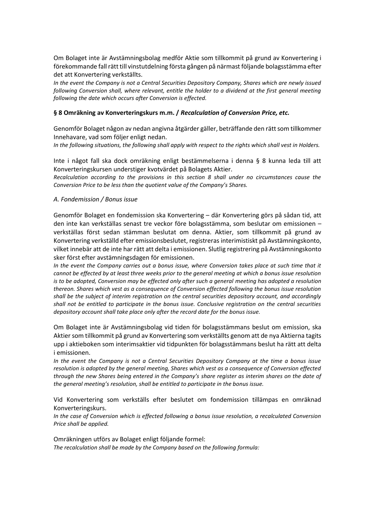Om Bolaget inte är Avstämningsbolag medför Aktie som tillkommit på grund av Konvertering i förekommande fall rätt till vinstutdelning första gången på närmast följande bolagsstämma efter det att Konvertering verkställts.

*In the event the Company is not a Central Securities Depository Company, Shares which are newly issued following Conversion shall, where relevant, entitle the holder to a dividend at the first general meeting following the date which occurs after Conversion is effected.*

## **§ 8 Omräkning av Konverteringskurs m.m. /** *Recalculation of Conversion Price, etc.*

Genomför Bolaget någon av nedan angivna åtgärder gäller, beträffande den rätt som tillkommer Innehavare, vad som följer enligt nedan.

*In the following situations, the following shall apply with respect to the rights which shall vest in Holders.*

Inte i något fall ska dock omräkning enligt bestämmelserna i denna § 8 kunna leda till att Konverteringskursen understiger kvotvärdet på Bolagets Aktier.

*Recalculation according to the provisions in this section 8 shall under no circumstances cause the Conversion Price to be less than the quotient value of the Company's Shares.*

#### *A. Fondemission / Bonus issue*

Genomför Bolaget en fondemission ska Konvertering – där Konvertering görs på sådan tid, att den inte kan verkställas senast tre veckor före bolagsstämma, som beslutar om emissionen – verkställas först sedan stämman beslutat om denna. Aktier, som tillkommit på grund av Konvertering verkställd efter emissionsbeslutet, registreras interimistiskt på Avstämningskonto, vilket innebär att de inte har rätt att delta i emissionen. Slutlig registrering på Avstämningskonto sker först efter avstämningsdagen för emissionen.

*In the event the Company carries out a bonus issue, where Conversion takes place at such time that it cannot be effected by at least three weeks prior to the general meeting at which a bonus issue resolution is to be adopted, Conversion may be effected only after such a general meeting has adopted a resolution thereon. Shares which vest as a consequence of Conversion effected following the bonus issue resolution shall be the subject of interim registration on the central securities depository account, and accordingly shall not be entitled to participate in the bonus issue. Conclusive registration on the central securities depository account shall take place only after the record date for the bonus issue.*

Om Bolaget inte är Avstämningsbolag vid tiden för bolagsstämmans beslut om emission, ska Aktier som tillkommit på grund av Konvertering som verkställts genom att de nya Aktierna tagits upp i aktieboken som interimsaktier vid tidpunkten för bolagsstämmans beslut ha rätt att delta i emissionen.

*In the event the Company is not a Central Securities Depository Company at the time a bonus issue resolution is adopted by the general meeting, Shares which vest as a consequence of Conversion effected through the new Shares being entered in the Company's share register as interim shares on the date of the general meeting's resolution, shall be entitled to participate in the bonus issue.*

Vid Konvertering som verkställs efter beslutet om fondemission tillämpas en omräknad Konverteringskurs.

*In the case of Conversion which is effected following a bonus issue resolution, a recalculated Conversion Price shall be applied.*

Omräkningen utförs av Bolaget enligt följande formel: *The recalculation shall be made by the Company based on the following formula:*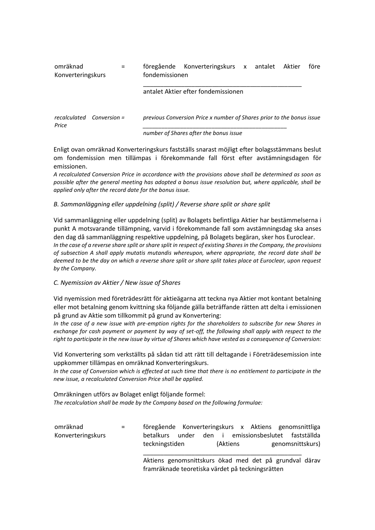#### omräknad Konverteringskurs = föregående Konverteringskurs x antalet Aktier före fondemissionen

#### antalet Aktier efter fondemissionen

\_\_\_\_\_\_\_\_\_\_\_\_\_\_\_\_\_\_\_\_\_\_\_\_\_\_\_\_\_\_\_\_\_\_\_\_\_\_\_\_\_\_\_\_\_\_

*recalculated Conversion Price = previous Conversion Price x number of Shares prior to the bonus issue \_\_\_\_\_\_\_\_\_\_\_\_\_\_\_\_\_\_\_\_\_\_\_\_\_\_\_\_\_\_\_\_\_\_\_\_\_\_\_\_\_\_\_\_\_\_*

*number of Shares after the bonus issue*

Enligt ovan omräknad Konverteringskurs fastställs snarast möjligt efter bolagsstämmans beslut om fondemission men tillämpas i förekommande fall först efter avstämningsdagen för emissionen.

*A recalculated Conversion Price in accordance with the provisions above shall be determined as soon as possible after the general meeting has adopted a bonus issue resolution but, where applicable, shall be applied only after the record date for the bonus issue.*

# *B. Sammanläggning eller uppdelning (split) / Reverse share split or share split*

Vid sammanläggning eller uppdelning (split) av Bolagets befintliga Aktier har bestämmelserna i punkt A motsvarande tillämpning, varvid i förekommande fall som avstämningsdag ska anses den dag då sammanläggning respektive uppdelning, på Bolagets begäran, sker hos Euroclear. *In the case of a reverse share split or share split in respect of existing Shares in the Company, the provisions of subsection A shall apply mutatis mutandis whereupon, where appropriate, the record date shall be deemed to be the day on which a reverse share split or share split takes place at Euroclear, upon request by the Company.*

# *C. Nyemission av Aktier / New issue of Shares*

Vid nyemission med företrädesrätt för aktieägarna att teckna nya Aktier mot kontant betalning eller mot betalning genom kvittning ska följande gälla beträffande rätten att delta i emissionen på grund av Aktie som tillkommit på grund av Konvertering:

*In the case of a new issue with pre-emption rights for the shareholders to subscribe for new Shares in exchange for cash payment or payment by way of set-off, the following shall apply with respect to the right to participate in the new issue by virtue of Shares which have vested as a consequence of Conversion:*

Vid Konvertering som verkställts på sådan tid att rätt till deltagande i Företrädesemission inte uppkommer tillämpas en omräknad Konverteringskurs.

*In the case of Conversion which is effected at such time that there is no entitlement to participate in the new issue, a recalculated Conversion Price shall be applied.*

Omräkningen utförs av Bolaget enligt följande formel: *The recalculation shall be made by the Company based on the following formulae:*

| omräknad          | $=$ $-$ | föregående Konverteringskurs x Aktiens genomsnittliga |       |          |                               |                  |  |
|-------------------|---------|-------------------------------------------------------|-------|----------|-------------------------------|------------------|--|
| Konverteringskurs |         | betalkurs under                                       | den i |          | emissionsbeslutet fastställda |                  |  |
|                   |         | teckningstiden                                        |       | (Aktiens |                               | genomsnittskurs) |  |
|                   |         | Altione conomenitature died mod det nå cruppul därev  |       |          |                               |                  |  |

Aktiens genomsnittskurs ökad med det på grundval därav framräknade teoretiska värdet på teckningsrätten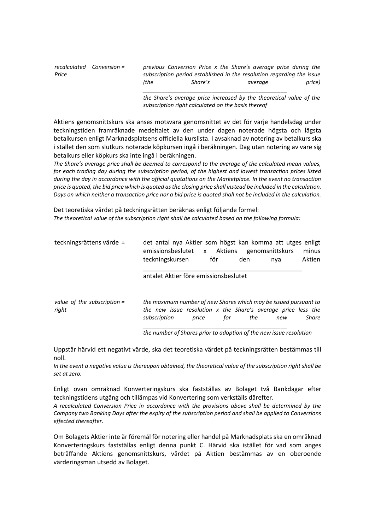|       | $recalculated$ Conversion = |      | previous Conversion Price x the Share's average price during the      |         |        |
|-------|-----------------------------|------|-----------------------------------------------------------------------|---------|--------|
| Price |                             |      | subscription period established in the resolution regarding the issue |         |        |
|       |                             | (the | Share's                                                               | averaae | price) |
|       |                             |      |                                                                       |         |        |

*the Share's average price increased by the theoretical value of the subscription right calculated on the basis thereof*

Aktiens genomsnittskurs ska anses motsvara genomsnittet av det för varje handelsdag under teckningstiden framräknade medeltalet av den under dagen noterade högsta och lägsta betalkursen enligt Marknadsplatsens officiella kurslista. I avsaknad av notering av betalkurs ska i stället den som slutkurs noterade köpkursen ingå i beräkningen. Dag utan notering av vare sig betalkurs eller köpkurs ska inte ingå i beräkningen.

*The Share's average price shall be deemed to correspond to the average of the calculated mean values, for each trading day during the subscription period, of the highest and lowest transaction prices listed during the day in accordance with the official quotations on the Marketplace. In the event no transaction price is quoted, the bid price which is quoted as the closing price shall instead be included in the calculation. Days on which neither a transaction price nor a bid price is quoted shall not be included in the calculation.*

Det teoretiska värdet på teckningsrätten beräknas enligt följande formel: *The theoretical value of the subscription right shall be calculated based on the following formula:*

| teckningsrättens värde =               | det antal nya Aktier som högst kan komma att utges enligt<br>emissionsbeslutet x Aktiens<br>teckningskursen                                       | för          | den | genomsnittskurs<br>nya | minus<br>Aktien |
|----------------------------------------|---------------------------------------------------------------------------------------------------------------------------------------------------|--------------|-----|------------------------|-----------------|
|                                        | antalet Aktier före emissionsbeslutet                                                                                                             |              |     |                        |                 |
| value of the subscription $=$<br>right | the maximum number of new Shares which may be issued pursuant to<br>the new issue resolution x the Share's average price less the<br>subscription | for<br>price | the | new                    | Share           |

*the number of Shares prior to adoption of the new issue resolution*

Uppstår härvid ett negativt värde, ska det teoretiska värdet på teckningsrätten bestämmas till noll.

*In the event a negative value is thereupon obtained, the theoretical value of the subscription right shall be set at zero.*

Enligt ovan omräknad Konverteringskurs ska fastställas av Bolaget två Bankdagar efter teckningstidens utgång och tillämpas vid Konvertering som verkställs därefter.

*A recalculated Conversion Price in accordance with the provisions above shall be determined by the Company two Banking Days after the expiry of the subscription period and shall be applied to Conversions effected thereafter.*

Om Bolagets Aktier inte är föremål för notering eller handel på Marknadsplats ska en omräknad Konverteringskurs fastställas enligt denna punkt C. Härvid ska istället för vad som anges beträffande Aktiens genomsnittskurs, värdet på Aktien bestämmas av en oberoende värderingsman utsedd av Bolaget.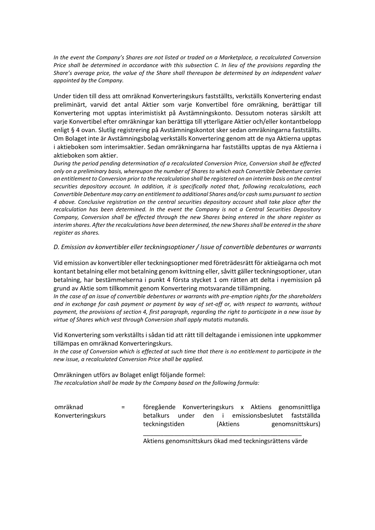*In the event the Company's Shares are not listed or traded on a Marketplace, a recalculated Conversion Price shall be determined in accordance with this subsection C. In lieu of the provisions regarding the Share's average price, the value of the Share shall thereupon be determined by an independent valuer appointed by the Company.*

Under tiden till dess att omräknad Konverteringskurs fastställts, verkställs Konvertering endast preliminärt, varvid det antal Aktier som varje Konvertibel före omräkning, berättigar till Konvertering mot upptas interimistiskt på Avstämningskonto. Dessutom noteras särskilt att varje Konvertibel efter omräkningar kan berättiga till ytterligare Aktier och/eller kontantbelopp enligt § 4 ovan. Slutlig registrering på Avstämningskontot sker sedan omräkningarna fastställts. Om Bolaget inte är Avstämningsbolag verkställs Konvertering genom att de nya Aktierna upptas i aktieboken som interimsaktier. Sedan omräkningarna har fastställts upptas de nya Aktierna i aktieboken som aktier.

*During the period pending determination of a recalculated Conversion Price, Conversion shall be effected only on a preliminary basis, whereupon the number of Shares to which each Convertible Debenture carries an entitlement to Conversion prior to the recalculation shall be registered on an interim basis on the central securities depository account. In addition, it is specifically noted that, following recalculations, each Convertible Debenture may carry an entitlement to additional Shares and/or cash sums pursuant to section 4 above. Conclusive registration on the central securities depository account shall take place after the recalculation has been determined. In the event the Company is not a Central Securities Depository Company, Conversion shall be effected through the new Shares being entered in the share register as interim shares. After the recalculations have been determined, the new Shares shall be entered in the share register as shares.*

*D. Emission av konvertibler eller teckningsoptioner / Issue of convertible debentures or warrants*

Vid emission av konvertibler eller teckningsoptioner med företrädesrätt för aktieägarna och mot kontant betalning eller mot betalning genom kvittning eller, såvitt gäller teckningsoptioner, utan betalning, har bestämmelserna i punkt 4 första stycket 1 om rätten att delta i nyemission på grund av Aktie som tillkommit genom Konvertering motsvarande tillämpning.

*In the case of an issue of convertible debentures or warrants with pre-emption rights for the shareholders and in exchange for cash payment or payment by way of set-off or, with respect to warrants, without payment, the provisions of section 4, first paragraph, regarding the right to participate in a new issue by virtue of Shares which vest through Conversion shall apply mutatis mutandis.*

Vid Konvertering som verkställts i sådan tid att rätt till deltagande i emissionen inte uppkommer tillämpas en omräknad Konverteringskurs.

*In the case of Conversion which is effected at such time that there is no entitlement to participate in the new issue, a recalculated Conversion Price shall be applied.*

Omräkningen utförs av Bolaget enligt följande formel: *The recalculation shall be made by the Company based on the following formula:*

omräknad Konverteringskurs = föregående Konverteringskurs x Aktiens genomsnittliga betalkurs under den i emissionsbeslutet fastställda teckningstiden (Aktiens genomsnittskurs)

> \_\_\_\_\_\_\_\_\_\_\_\_\_\_\_\_\_\_\_\_\_\_\_\_\_\_\_\_\_\_\_\_\_\_\_\_\_\_\_\_\_\_\_\_\_\_ Aktiens genomsnittskurs ökad med teckningsrättens värde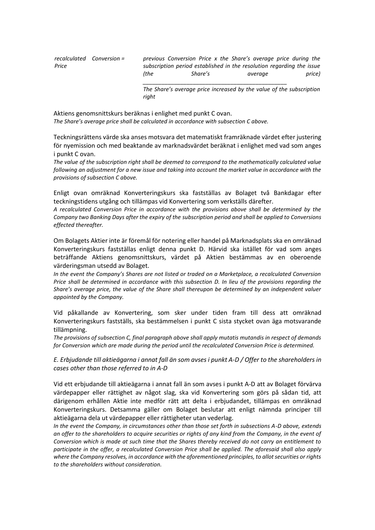|       | recalculated Conversion = |      | previous Conversion Price x the Share's average price during the      |         |         |  |        |
|-------|---------------------------|------|-----------------------------------------------------------------------|---------|---------|--|--------|
| Price |                           |      | subscription period established in the resolution regarding the issue |         |         |  |        |
|       |                           | (the |                                                                       | Share's | average |  | price) |
|       |                           |      |                                                                       |         |         |  |        |

*The Share's average price increased by the value of the subscription right*

Aktiens genomsnittskurs beräknas i enlighet med punkt C ovan. *The Share's average price shall be calculated in accordance with subsection C above.*

Teckningsrättens värde ska anses motsvara det matematiskt framräknade värdet efter justering för nyemission och med beaktande av marknadsvärdet beräknat i enlighet med vad som anges i punkt C ovan.

*The value of the subscription right shall be deemed to correspond to the mathematically calculated value following an adjustment for a new issue and taking into account the market value in accordance with the provisions of subsection C above.*

Enligt ovan omräknad Konverteringskurs ska fastställas av Bolaget två Bankdagar efter teckningstidens utgång och tillämpas vid Konvertering som verkställs därefter.

*A recalculated Conversion Price in accordance with the provisions above shall be determined by the Company two Banking Days after the expiry of the subscription period and shall be applied to Conversions effected thereafter.*

Om Bolagets Aktier inte är föremål för notering eller handel på Marknadsplats ska en omräknad Konverteringskurs fastställas enligt denna punkt D. Härvid ska istället för vad som anges beträffande Aktiens genomsnittskurs, värdet på Aktien bestämmas av en oberoende värderingsman utsedd av Bolaget.

*In the event the Company's Shares are not listed or traded on a Marketplace, a recalculated Conversion Price shall be determined in accordance with this subsection D. In lieu of the provisions regarding the Share's average price, the value of the Share shall thereupon be determined by an independent valuer appointed by the Company.*

Vid påkallande av Konvertering, som sker under tiden fram till dess att omräknad Konverteringskurs fastställs, ska bestämmelsen i punkt C sista stycket ovan äga motsvarande tillämpning.

*The provisions of subsection C, final paragraph above shall apply mutatis mutandis in respect of demands for Conversion which are made during the period until the recalculated Conversion Price is determined.*

*E. Erbjudande till aktieägarna i annat fall än som avses i punkt A-D / Offer to the shareholders in cases other than those referred to in A-D*

Vid ett erbjudande till aktieägarna i annat fall än som avses i punkt A-D att av Bolaget förvärva värdepapper eller rättighet av något slag, ska vid Konvertering som görs på sådan tid, att därigenom erhållen Aktie inte medför rätt att delta i erbjudandet, tillämpas en omräknad Konverteringskurs. Detsamma gäller om Bolaget beslutar att enligt nämnda principer till aktieägarna dela ut värdepapper eller rättigheter utan vederlag.

*In the event the Company, in circumstances other than those set forth in subsections A-D above, extends an offer to the shareholders to acquire securities or rights of any kind from the Company, in the event of Conversion which is made at such time that the Shares thereby received do not carry an entitlement to participate in the offer, a recalculated Conversion Price shall be applied. The aforesaid shall also apply where the Company resolves, in accordance with the aforementioned principles, to allot securities or rights to the shareholders without consideration.*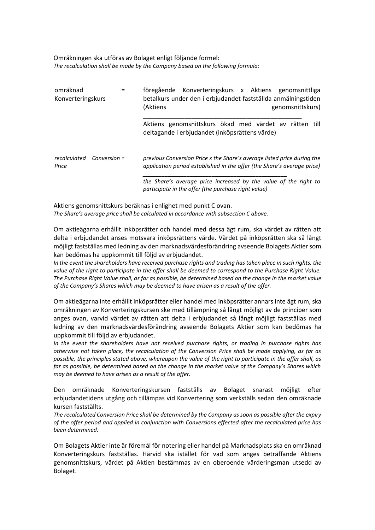#### Omräkningen ska utföras av Bolaget enligt följande formel: *The recalculation shall be made by the Company based on the following formula:*

| omräknad<br>Konverteringskurs      | föregående Konverteringskurs x Aktiens genomsnittliga<br>betalkurs under den i erbjudandet fastställda anmälningstiden<br>(Aktiens<br>genomsnittskurs) |
|------------------------------------|--------------------------------------------------------------------------------------------------------------------------------------------------------|
|                                    | Aktiens genomsnittskurs ökad med värdet av rätten till<br>deltagande i erbjudandet (inköpsrättens värde)                                               |
| recalculated Conversion =<br>Price | previous Conversion Price x the Share's average listed price during the<br>application period established in the offer (the Share's average price)     |
|                                    | the Share's average price increased by the value of the right to<br>participate in the offer (the purchase right value)                                |

Aktiens genomsnittskurs beräknas i enlighet med punkt C ovan. *The Share's average price shall be calculated in accordance with subsection C above.*

Om aktieägarna erhållit inköpsrätter och handel med dessa ägt rum, ska värdet av rätten att delta i erbjudandet anses motsvara inköpsrättens värde. Värdet på inköpsrätten ska så långt möjligt fastställas med ledning av den marknadsvärdesförändring avseende Bolagets Aktier som kan bedömas ha uppkommit till följd av erbjudandet.

*In the event the shareholders have received purchase rights and trading has taken place in such rights, the value of the right to participate in the offer shall be deemed to correspond to the Purchase Right Value. The Purchase Right Value shall, as far as possible, be determined based on the change in the market value of the Company's Shares which may be deemed to have arisen as a result of the offer.*

Om aktieägarna inte erhållit inköpsrätter eller handel med inköpsrätter annars inte ägt rum, ska omräkningen av Konverteringskursen ske med tillämpning så långt möjligt av de principer som anges ovan, varvid värdet av rätten att delta i erbjudandet så långt möjligt fastställas med ledning av den marknadsvärdesförändring avseende Bolagets Aktier som kan bedömas ha uppkommit till följd av erbjudandet.

*In the event the shareholders have not received purchase rights, or trading in purchase rights has otherwise not taken place, the recalculation of the Conversion Price shall be made applying, as far as possible, the principles stated above, whereupon the value of the right to participate in the offer shall, as far as possible, be determined based on the change in the market value of the Company's Shares which may be deemed to have arisen as a result of the offer.*

Den omräknade Konverteringskursen fastställs av Bolaget snarast möjligt efter erbjudandetidens utgång och tillämpas vid Konvertering som verkställs sedan den omräknade kursen fastställts.

*The recalculated Conversion Price shall be determined by the Company as soon as possible after the expiry of the offer period and applied in conjunction with Conversions effected after the recalculated price has been determined.*

Om Bolagets Aktier inte är föremål för notering eller handel på Marknadsplats ska en omräknad Konverteringskurs fastställas. Härvid ska istället för vad som anges beträffande Aktiens genomsnittskurs, värdet på Aktien bestämmas av en oberoende värderingsman utsedd av Bolaget.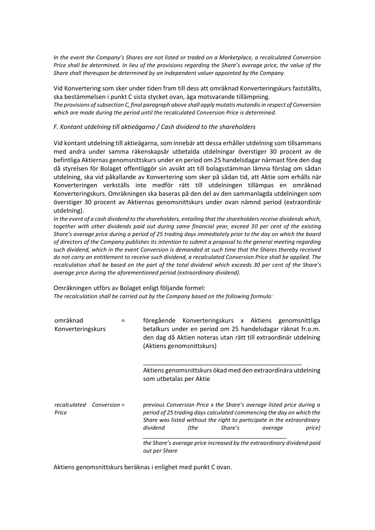*In the event the Company's Shares are not listed or traded on a Marketplace, a recalculated Conversion Price shall be determined. In lieu of the provisions regarding the Share's average price, the value of the Share shall thereupon be determined by an independent valuer appointed by the Company.*

Vid Konvertering som sker under tiden fram till dess att omräknad Konverteringskurs fastställts, ska bestämmelsen i punkt C sista stycket ovan, äga motsvarande tillämpning. *The provisions of subsection C, final paragraph above shall apply mutatis mutandis in respect of Conversion which are made during the period until the recalculated Conversion Price is determined.*

*F. Kontant utdelning till aktieägarna / Cash dividend to the shareholders*

Vid kontant utdelning till aktieägarna, som innebär att dessa erhåller utdelning som tillsammans med andra under samma räkenskapsår utbetalda utdelningar överstiger 30 procent av de befintliga Aktiernas genomsnittskurs under en period om 25 handelsdagar närmast före den dag då styrelsen för Bolaget offentliggör sin avsikt att till bolagsstämman lämna förslag om sådan utdelning, ska vid påkallande av Konvertering som sker på sådan tid, att Aktie som erhålls när Konverteringen verkställs inte medför rätt till utdelningen tillämpas en omräknad Konverteringskurs. Omräkningen ska baseras på den del av den sammanlagda utdelningen som överstiger 30 procent av Aktiernas genomsnittskurs under ovan nämnd period (extraordinär utdelning).

*In the event of a cash dividend to the shareholders, entailing that the shareholders receive dividends which, together with other dividends paid out during same financial year, exceed 30 per cent of the existing Share's average price during a period of 25 trading days immediately prior to the day on which the board of directors of the Company publishes its intention to submit a proposal to the general meeting regarding such dividend, which in the event Conversion is demanded at such time that the Shares thereby received do not carry an entitlement to receive such dividend, a recalculated Conversion Price shall be applied. The recalculation shall be based on the part of the total dividend which exceeds 30 per cent of the Share's average price during the aforementioned period (extraordinary dividend).*

Omräkningen utförs av Bolaget enligt följande formel: *The recalculation shall be carried out by the Company based on the following formula:*

| omräknad<br>Konverteringskurs      | föregående Konverteringskurs x Aktiens genomsnittliga<br>betalkurs under en period om 25 handelsdagar räknat fr.o.m.<br>den dag då Aktien noteras utan rätt till extraordinär utdelning<br>(Aktiens genomsnittskurs)                                                                                                                                                   |
|------------------------------------|------------------------------------------------------------------------------------------------------------------------------------------------------------------------------------------------------------------------------------------------------------------------------------------------------------------------------------------------------------------------|
|                                    | Aktiens genomsnittskurs ökad med den extraordinära utdelning<br>som utbetalas per Aktie                                                                                                                                                                                                                                                                                |
| recalculated Conversion =<br>Price | previous Conversion Price x the Share's average listed price during a<br>period of 25 trading days calculated commencing the day on which the<br>Share was listed without the right to participate in the extraordinary<br>dividend<br>(the<br>Share's<br>price)<br>average<br>the Share's average price increased by the extraordinary dividend paid<br>out per Share |

Aktiens genomsnittskurs beräknas i enlighet med punkt C ovan.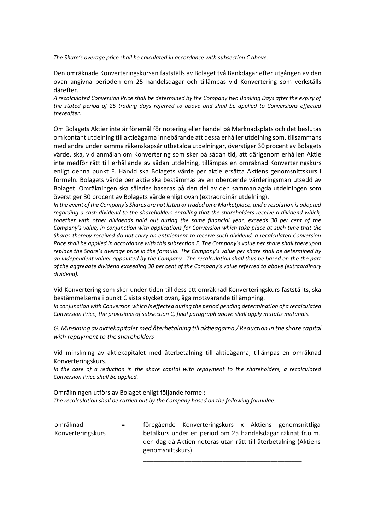*The Share's average price shall be calculated in accordance with subsection C above.*

Den omräknade Konverteringskursen fastställs av Bolaget två Bankdagar efter utgången av den ovan angivna perioden om 25 handelsdagar och tillämpas vid Konvertering som verkställs därefter.

*A recalculated Conversion Price shall be determined by the Company two Banking Days after the expiry of the stated period of 25 trading days referred to above and shall be applied to Conversions effected thereafter.*

Om Bolagets Aktier inte är föremål för notering eller handel på Marknadsplats och det beslutas om kontant utdelning till aktieägarna innebärande att dessa erhåller utdelning som, tillsammans med andra under samma räkenskapsår utbetalda utdelningar, överstiger 30 procent av Bolagets värde, ska, vid anmälan om Konvertering som sker på sådan tid, att därigenom erhållen Aktie inte medför rätt till erhållande av sådan utdelning, tillämpas en omräknad Konverteringskurs enligt denna punkt F. Härvid ska Bolagets värde per aktie ersätta Aktiens genomsnittskurs i formeln. Bolagets värde per aktie ska bestämmas av en oberoende värderingsman utsedd av Bolaget. Omräkningen ska således baseras på den del av den sammanlagda utdelningen som överstiger 30 procent av Bolagets värde enligt ovan (extraordinär utdelning).

*In the event of the Company's Shares are not listed or traded on a Marketplace, and a resolution is adopted regarding a cash dividend to the shareholders entailing that the shareholders receive a dividend which, together with other dividends paid out during the same financial year, exceeds 30 per cent of the Company's value, in conjunction with applications for Conversion which take place at such time that the Shares thereby received do not carry an entitlement to receive such dividend, a recalculated Conversion Price shall be applied in accordance with this subsection F. The Company's value per share shall thereupon replace the Share's average price in the formula. The Company's value per share shall be determined by an independent valuer appointed by the Company. The recalculation shall thus be based on the the part of the aggregate dividend exceeding 30 per cent of the Company's value referred to above (extraordinary dividend).*

Vid Konvertering som sker under tiden till dess att omräknad Konverteringskurs fastställts, ska bestämmelserna i punkt C sista stycket ovan, äga motsvarande tillämpning.

*In conjunction with Conversion which is effected during the period pending determination of a recalculated Conversion Price, the provisions of subsection C, final paragraph above shall apply mutatis mutandis.*

*G. Minskning av aktiekapitalet med återbetalning till aktieägarna / Reduction in the share capital with repayment to the shareholders*

Vid minskning av aktiekapitalet med återbetalning till aktieägarna, tillämpas en omräknad Konverteringskurs.

*In the case of a reduction in the share capital with repayment to the shareholders, a recalculated Conversion Price shall be applied.*

Omräkningen utförs av Bolaget enligt följande formel: *The recalculation shall be carried out by the Company based on the following formulae:*

omräknad Konverteringskurs = föregående Konverteringskurs x Aktiens genomsnittliga betalkurs under en period om 25 handelsdagar räknat fr.o.m. den dag då Aktien noteras utan rätt till återbetalning (Aktiens genomsnittskurs)

\_\_\_\_\_\_\_\_\_\_\_\_\_\_\_\_\_\_\_\_\_\_\_\_\_\_\_\_\_\_\_\_\_\_\_\_\_\_\_\_\_\_\_\_\_\_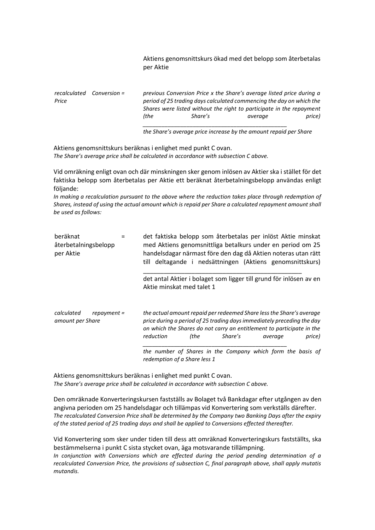Aktiens genomsnittskurs ökad med det belopp som återbetalas per Aktie

*recalculated Conversion Price = previous Conversion Price x the Share's average listed price during a period of 25 trading days calculated commencing the day on which the Shares were listed without the right to participate in the repayment (the Share's average price) \_\_\_\_\_\_\_\_\_\_\_\_\_\_\_\_\_\_\_\_\_\_\_\_\_\_\_\_\_\_\_\_\_\_\_\_\_\_\_\_\_\_\_\_\_\_*

*the Share's average price increase by the amount repaid per Share*

Aktiens genomsnittskurs beräknas i enlighet med punkt C ovan. *The Share's average price shall be calculated in accordance with subsection C above.*

Vid omräkning enligt ovan och där minskningen sker genom inlösen av Aktier ska i stället för det faktiska belopp som återbetalas per Aktie ett beräknat återbetalningsbelopp användas enligt följande:

*In making a recalculation pursuant to the above where the reduction takes place through redemption of Shares, instead of using the actual amount which is repaid per Share a calculated repayment amount shall be used as follows:*

| beräknat<br>återbetalningsbelopp<br>per Aktie | det faktiska belopp som återbetalas per inlöst Aktie minskat<br>med Aktiens genomsnittliga betalkurs under en period om 25<br>handelsdagar närmast före den dag då Aktien noteras utan rätt<br>till deltagande i nedsättningen (Aktiens genomsnittskurs) |      |         |         |        |
|-----------------------------------------------|----------------------------------------------------------------------------------------------------------------------------------------------------------------------------------------------------------------------------------------------------------|------|---------|---------|--------|
|                                               | det antal Aktier i bolaget som ligger till grund för inlösen av en<br>Aktie minskat med talet 1                                                                                                                                                          |      |         |         |        |
| calculated<br>repayment =<br>amount per Share | the actual amount repaid per redeemed Share less the Share's average<br>price during a period of 25 trading days immediately preceding the day<br>on which the Shares do not carry an entitlement to participate in the<br>reduction                     | (the | Share's | average | price) |
|                                               | the number of Shares in the Company which form the basis of<br>redemption of a Share less 1                                                                                                                                                              |      |         |         |        |

Aktiens genomsnittskurs beräknas i enlighet med punkt C ovan. *The Share's average price shall be calculated in accordance with subsection C above.*

Den omräknade Konverteringskursen fastställs av Bolaget två Bankdagar efter utgången av den angivna perioden om 25 handelsdagar och tillämpas vid Konvertering som verkställs därefter. *The recalculated Conversion Price shall be determined by the Company two Banking Days after the expiry of the stated period of 25 trading days and shall be applied to Conversions effected thereafter.*

Vid Konvertering som sker under tiden till dess att omräknad Konverteringskurs fastställts, ska bestämmelserna i punkt C sista stycket ovan, äga motsvarande tillämpning.

*In conjunction with Conversions which are effected during the period pending determination of a recalculated Conversion Price, the provisions of subsection C, final paragraph above, shall apply mutatis mutandis.*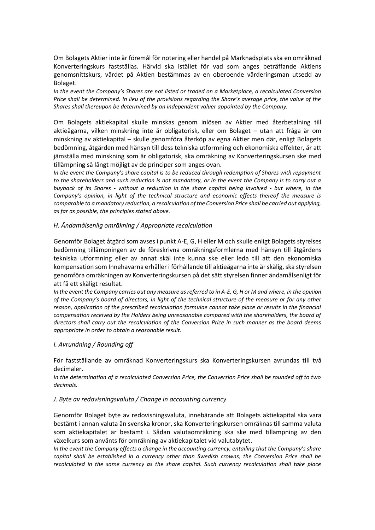Om Bolagets Aktier inte är föremål för notering eller handel på Marknadsplats ska en omräknad Konverteringskurs fastställas. Härvid ska istället för vad som anges beträffande Aktiens genomsnittskurs, värdet på Aktien bestämmas av en oberoende värderingsman utsedd av Bolaget.

*In the event the Company's Shares are not listed or traded on a Marketplace, a recalculated Conversion Price shall be determined. In lieu of the provisions regarding the Share's average price, the value of the Shares shall thereupon be determined by an independent valuer appointed by the Company.*

Om Bolagets aktiekapital skulle minskas genom inlösen av Aktier med återbetalning till aktieägarna, vilken minskning inte är obligatorisk, eller om Bolaget – utan att fråga är om minskning av aktiekapital – skulle genomföra återköp av egna Aktier men där, enligt Bolagets bedömning, åtgärden med hänsyn till dess tekniska utformning och ekonomiska effekter, är att jämställa med minskning som är obligatorisk, ska omräkning av Konverteringskursen ske med tillämpning så långt möjligt av de principer som anges ovan.

*In the event the Company's share capital is to be reduced through redemption of Shares with repayment to the shareholders and such reduction is not mandatory, or in the event the Company is to carry out a buyback of its Shares - without a reduction in the share capital being involved - but where, in the Company's opinion, in light of the technical structure and economic effects thereof the measure is comparable to a mandatory reduction, a recalculation of the Conversion Price shall be carried out applying, as far as possible, the principles stated above.*

### *H. Ändamålsenlig omräkning / Appropriate recalculation*

Genomför Bolaget åtgärd som avses i punkt A-E, G, H eller M och skulle enligt Bolagets styrelses bedömning tillämpningen av de föreskrivna omräkningsformlerna med hänsyn till åtgärdens tekniska utformning eller av annat skäl inte kunna ske eller leda till att den ekonomiska kompensation som Innehavarna erhåller i förhållande till aktieägarna inte är skälig, ska styrelsen genomföra omräkningen av Konverteringskursen på det sätt styrelsen finner ändamålsenligt för att få ett skäligt resultat.

*In the event the Company carries out any measure as referred to in A-E, G, H or M and where, in the opinion of the Company's board of directors, in light of the technical structure of the measure or for any other reason, application of the prescribed recalculation formulae cannot take place or results in the financial compensation received by the Holders being unreasonable compared with the shareholders, the board of directors shall carry out the recalculation of the Conversion Price in such manner as the board deems appropriate in order to obtain a reasonable result.*

#### *I. Avrundning / Rounding off*

För fastställande av omräknad Konverteringskurs ska Konverteringskursen avrundas till två decimaler.

*In the determination of a recalculated Conversion Price, the Conversion Price shall be rounded off to two decimals.*

#### *J. Byte av redovisningsvaluta / Change in accounting currency*

Genomför Bolaget byte av redovisningsvaluta, innebärande att Bolagets aktiekapital ska vara bestämt i annan valuta än svenska kronor, ska Konverteringskursen omräknas till samma valuta som aktiekapitalet är bestämt i. Sådan valutaomräkning ska ske med tillämpning av den växelkurs som använts för omräkning av aktiekapitalet vid valutabytet.

*In the event the Company effects a change in the accounting currency, entailing that the Company's share capital shall be established in a currency other than Swedish crowns, the Conversion Price shall be recalculated in the same currency as the share capital. Such currency recalculation shall take place*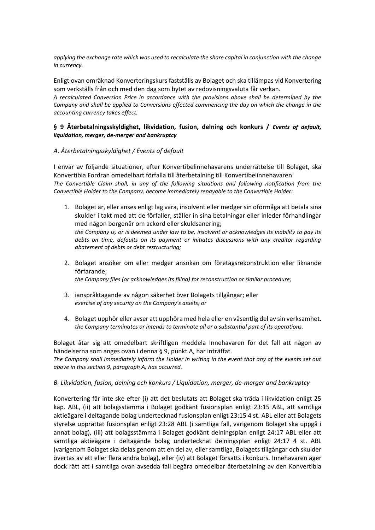*applying the exchange rate which was used to recalculate the share capital in conjunction with the change in currency.*

Enligt ovan omräknad Konverteringskurs fastställs av Bolaget och ska tillämpas vid Konvertering som verkställs från och med den dag som bytet av redovisningsvaluta får verkan.

*A recalculated Conversion Price in accordance with the provisions above shall be determined by the Company and shall be applied to Conversions effected commencing the day on which the change in the accounting currency takes effect.*

# **§ 9 Återbetalningsskyldighet, likvidation, fusion, delning och konkurs /** *Events of default, liquidation, merger, de-merger and bankruptcy*

# *A. Återbetalningsskyldighet / Events of default*

I envar av följande situationer, efter Konvertibelinnehavarens underrättelse till Bolaget, ska Konvertibla Fordran omedelbart förfalla till återbetalning till Konvertibelinnehavaren: *The Convertible Claim shall, in any of the following situations and following notification from the Convertible Holder to the Company, become immediately repayable to the Convertible Holder:*

- 1. Bolaget är, eller anses enligt lag vara, insolvent eller medger sin oförmåga att betala sina skulder i takt med att de förfaller, ställer in sina betalningar eller inleder förhandlingar med någon borgenär om ackord eller skuldsanering; *the Company is, or is deemed under law to be, insolvent or acknowledges its inability to pay its*  debts on time, defaults on its payment or initiates discussions with any creditor regarding *abatement of debts or debt restructuring;*
- 2. Bolaget ansöker om eller medger ansökan om företagsrekonstruktion eller liknande förfarande;

*the Company files (or acknowledges its filing) for reconstruction or similar procedure;*

- 3. ianspråktagande av någon säkerhet över Bolagets tillgångar; eller *exercise of any security on the Company's assets; or*
- 4. Bolaget upphör eller avser att upphöra med hela eller en väsentlig del av sin verksamhet. *the Company terminates or intends to terminate all or a substantial part of its operations.*

Bolaget åtar sig att omedelbart skriftligen meddela Innehavaren för det fall att någon av händelserna som anges ovan i denna § 9, punkt A, har inträffat.

*The Company shall immediately inform the Holder in writing in the event that any of the events set out above in this section 9, paragraph A, has occurred.*

# *B. Likvidation, fusion, delning och konkurs / Liquidation, merger, de-merger and bankruptcy*

Konvertering får inte ske efter (i) att det beslutats att Bolaget ska träda i likvidation enligt 25 kap. ABL, (ii) att bolagsstämma i Bolaget godkänt fusionsplan enligt 23:15 ABL, att samtliga aktieägare i deltagande bolag undertecknad fusionsplan enligt 23:15 4 st. ABL eller att Bolagets styrelse upprättat fusionsplan enligt 23:28 ABL (i samtliga fall, varigenom Bolaget ska uppgå i annat bolag), (iii) att bolagsstämma i Bolaget godkänt delningsplan enligt 24:17 ABL eller att samtliga aktieägare i deltagande bolag undertecknat delningsplan enligt 24:17 4 st. ABL (varigenom Bolaget ska delas genom att en del av, eller samtliga, Bolagets tillgångar och skulder övertas av ett eller flera andra bolag), eller (iv) att Bolaget försatts i konkurs. Innehavaren äger dock rätt att i samtliga ovan avsedda fall begära omedelbar återbetalning av den Konvertibla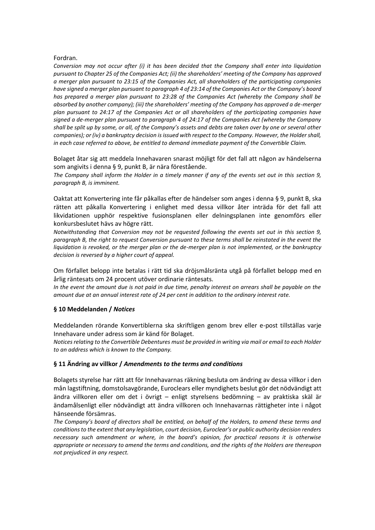### Fordran.

*Conversion may not occur after (i) it has been decided that the Company shall enter into liquidation pursuant to Chapter 25 of the Companies Act; (ii) the shareholders' meeting of the Company has approved a merger plan pursuant to 23:15 of the Companies Act, all shareholders of the participating companies have signed a merger plan pursuant to paragraph 4 of 23:14 of the Companies Act or the Company's board has prepared a merger plan pursuant to 23:28 of the Companies Act (whereby the Company shall be absorbed by another company); (iii) the shareholders' meeting of the Company has approved a de-merger plan pursuant to 24:17 of the Companies Act or all shareholders of the participating companies have signed a de-merger plan pursuant to paragraph 4 of 24:17 of the Companies Act (whereby the Company shall be split up by some, or all, of the Company's assets and debts are taken over by one or several other companies); or (iv) a bankruptcy decision is issued with respect to the Company. However, the Holder shall, in each case referred to above, be entitled to demand immediate payment of the Convertible Claim.*

Bolaget åtar sig att meddela Innehavaren snarast möjligt för det fall att någon av händelserna som angivits i denna § 9, punkt B, är nära förestående.

*The Company shall inform the Holder in a timely manner if any of the events set out in this section 9, paragraph B, is imminent.*

Oaktat att Konvertering inte får påkallas efter de händelser som anges i denna § 9, punkt B, ska rätten att påkalla Konvertering i enlighet med dessa villkor åter inträda för det fall att likvidationen upphör respektive fusionsplanen eller delningsplanen inte genomförs eller konkursbeslutet hävs av högre rätt.

*Notwithstanding that Conversion may not be requested following the events set out in this section 9, paragraph B, the right to request Conversion pursuant to these terms shall be reinstated in the event the liquidation is revoked, or the merger plan or the de-merger plan is not implemented, or the bankruptcy decision is reversed by a higher court of appeal.*

Om förfallet belopp inte betalas i rätt tid ska dröjsmålsränta utgå på förfallet belopp med en årlig räntesats om 24 procent utöver ordinarie räntesats.

*In the event the amount due is not paid in due time, penalty interest on arrears shall be payable on the amount due at an annual interest rate of 24 per cent in addition to the ordinary interest rate.* 

# **§ 10 Meddelanden /** *Notices*

Meddelanden rörande Konvertiblerna ska skriftligen genom brev eller e-post tillställas varje Innehavare under adress som är känd för Bolaget.

*Notices relating to the Convertible Debentures must be provided in writing via mail or email to each Holder to an address which is known to the Company.*

# **§ 11 Ändring av villkor /** *Amendments to the terms and conditions*

Bolagets styrelse har rätt att för Innehavarnas räkning besluta om ändring av dessa villkor i den mån lagstiftning, domstolsavgörande, Euroclears eller myndighets beslut gör det nödvändigt att ändra villkoren eller om det i övrigt – enligt styrelsens bedömning – av praktiska skäl är ändamålsenligt eller nödvändigt att ändra villkoren och Innehavarnas rättigheter inte i något hänseende försämras.

*The Company's board of directors shall be entitled, on behalf of the Holders, to amend these terms and conditions to the extent that any legislation, court decision, Euroclear's or public authority decision renders necessary such amendment or where, in the board's opinion, for practical reasons it is otherwise appropriate or necessary to amend the terms and conditions, and the rights of the Holders are thereupon not prejudiced in any respect.*